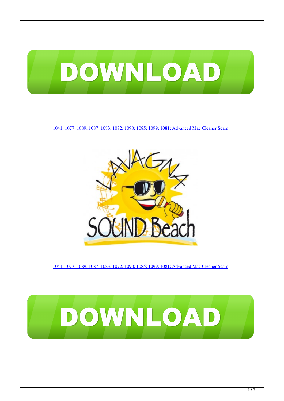

[1041; 1077; 1089; 1087; 1083; 1072; 1090; 1085; 1099; 1081; Advanced Mac Cleaner Scam](https://bytlly.com/1tjgq0)



[1041; 1077; 1089; 1087; 1083; 1072; 1090; 1085; 1099; 1081; Advanced Mac Cleaner Scam](https://bytlly.com/1tjgq0)

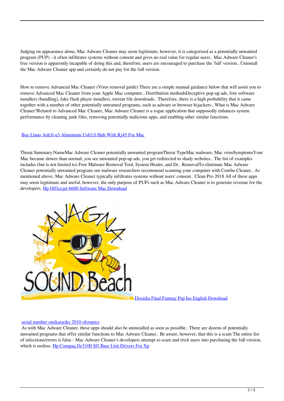Judging on appearance alone, Mac Adware Cleaner may seem legitimate, however, it is categorized as a potentially unwanted program (PUP) - it often infiltrates systems without consent and gives no real value for regular users.. Mac Adware Cleaner's free version is apparently incapable of doing this and, therefore, users are encouraged to purchase the 'full' version.. Uninstall the Mac Adware Cleaner app and certainly do not pay for the full version.

How to remove Advanced Mac Cleaner (Virus removal guide) There are a simple manual guidance below that will assist you to remove Advanced Mac Cleaner from your Apple Mac computer.. Distribution methodsDeceptive pop-up ads, free software installers (bundling), fake flash player installers, torrent file downloads.. Therefore, there is a high probability that it came together with a number of other potentially unwanted programs, such as adware or browser hijackers.. What is Mac Adware Cleaner?Related to Advanced Mac Cleaner, Mac Adware Cleaner is a rogue application that supposedly enhances system performance by cleaning junk files, removing potentially malicious apps, and enabling other similar functions.

## [Buy Llano Ash3l-u3 Aluminum Usb3.0 Hub With Rj45 For Mac](https://granwadabmist.substack.com/p/buy-llano-ash3l-u3-aluminum-usb30)

Threat Summary:NameMac Adware Cleaner potentially unwanted programThreat TypeMac malware, Mac virusSymptomsYour Mac became slower than normal, you see unwanted pop-up ads, you get redirected to shady websites.. The list of examples includes (but is not limited to) Free Malware Removal Tool, System Healer, and Dr.. RemovalTo eliminate Mac Adware Cleaner potentially unwanted program our malware researchers recommend scanning your computer with Combo Cleaner.. As mentioned above, Mac Adware Cleaner typically infiltrates systems without users' consent.. Clean Pro 2018 All of these apps may seem legitimate and useful, however, the only purpose of PUPs such as Mac Adware Cleaner is to generate revenue for the developers. [Hp Officejet 6600 Software Mac Download](https://niibaloback.amebaownd.com/posts/14856759)



[Dissidia Final Fantasy Psp Iso English Download](https://vigorous-lewin-771440.netlify.app/Dissidia-Final-Fantasy-Psp-Iso-English-Download)

## [serial number onekaraoke 2010 olympics](https://serial-number-onekaraoke-2010-olympics-64.peatix.com/view)

 As with Mac Adware Cleaner, these apps should also be uninstalled as soon as possible.. There are dozens of potentially unwanted programs that offer similar functions to Mac Adware Cleaner.. Be aware, however, that this is a scam The entire list of infections/errors is false - Mac Adware Cleaner's developers attempt to scare and trick users into purchasing the full version, which is useless. [Hp Compaq Dc5100 Sff Base Unit Drivers For Xp](https://osf.io/z7utb/)